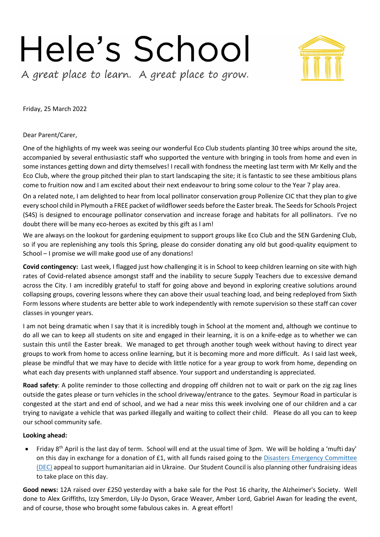## Hele's School

A great place to learn. A great place to grow.

Friday, 25 March 2022

Dear Parent/Carer,

One of the highlights of my week was seeing our wonderful Eco Club students planting 30 tree whips around the site, accompanied by several enthusiastic staff who supported the venture with bringing in tools from home and even in some instances getting down and dirty themselves! I recall with fondness the meeting last term with Mr Kelly and the Eco Club, where the group pitched their plan to start landscaping the site; it is fantastic to see these ambitious plans come to fruition now and I am excited about their next endeavour to bring some colour to the Year 7 play area.

On a related note, I am delighted to hear from local pollinator conservation group Pollenize CIC that they plan to give every school child in Plymouth a FREE packet of wildflower seeds before the Easter break. The Seeds for Schools Project (S4S) is designed to encourage pollinator conservation and increase forage and habitats for all pollinators. I've no doubt there will be many eco-heroes as excited by this gift as I am!

We are always on the lookout for gardening equipment to support groups like Eco Club and the SEN Gardening Club, so if you are replenishing any tools this Spring, please do consider donating any old but good-quality equipment to School – I promise we will make good use of any donations!

**Covid contingency:** Last week, I flagged just how challenging it is in School to keep children learning on site with high rates of Covid-related absence amongst staff and the inability to secure Supply Teachers due to excessive demand across the City. I am incredibly grateful to staff for going above and beyond in exploring creative solutions around collapsing groups, covering lessons where they can above their usual teaching load, and being redeployed from Sixth Form lessons where students are better able to work independently with remote supervision so these staff can cover classes in younger years.

I am not being dramatic when I say that it is incredibly tough in School at the moment and, although we continue to do all we can to keep all students on site and engaged in their learning, it is on a knife-edge as to whether we can sustain this until the Easter break. We managed to get through another tough week without having to direct year groups to work from home to access online learning, but it is becoming more and more difficult. As I said last week, please be mindful that we may have to decide with little notice for a year group to work from home, depending on what each day presents with unplanned staff absence. Your support and understanding is appreciated.

**Road safety**: A polite reminder to those collecting and dropping off children not to wait or park on the zig zag lines outside the gates please or turn vehicles in the school driveway/entrance to the gates. Seymour Road in particular is congested at the start and end of school, and we had a near miss this week involving one of our children and a car trying to navigate a vehicle that was parked illegally and waiting to collect their child. Please do all you can to keep our school community safe.

## **Looking ahead:**

Friday  $8<sup>th</sup>$  April is the last day of term. School will end at the usual time of 3pm. We will be holding a 'mufti day' on this day in exchange for a donation of £1, with all funds raised going to the Disasters Emergency [Committee](https://linkprotect.cudasvc.com/url?a=https%3a%2f%2fwww.dec.org.uk%2f%3fgclid%3dEAIaIQobChMIgPiG_ea99gIV9WDmCh0IAgQcEAAYASAAEgIoY_D_BwE&c=E,1,EzLtlbh4RqDQn_56R3gLRRVEIF1ujAiLxsGcTxUkHILANYIvwIKURCb_JnG_c8n1O4nX1Pf9QFTCHI8cNLxruQ5F-vhCdasvc5I0l5z_Y1v86PdPNIMG&typo=1) [\(DEC\)](https://linkprotect.cudasvc.com/url?a=https%3a%2f%2fwww.dec.org.uk%2f%3fgclid%3dEAIaIQobChMIgPiG_ea99gIV9WDmCh0IAgQcEAAYASAAEgIoY_D_BwE&c=E,1,EzLtlbh4RqDQn_56R3gLRRVEIF1ujAiLxsGcTxUkHILANYIvwIKURCb_JnG_c8n1O4nX1Pf9QFTCHI8cNLxruQ5F-vhCdasvc5I0l5z_Y1v86PdPNIMG&typo=1) appeal to support humanitarian aid in Ukraine. Our Student Council is also planning other fundraising ideas to take place on this day.

**Good news:** 12A raised over £250 yesterday with a bake sale for the Post 16 charity, the Alzheimer's Society. Well done to Alex Griffiths, Izzy Smerdon, Lily-Jo Dyson, Grace Weaver, Amber Lord, Gabriel Awan for leading the event, and of course, those who brought some fabulous cakes in. A great effort!